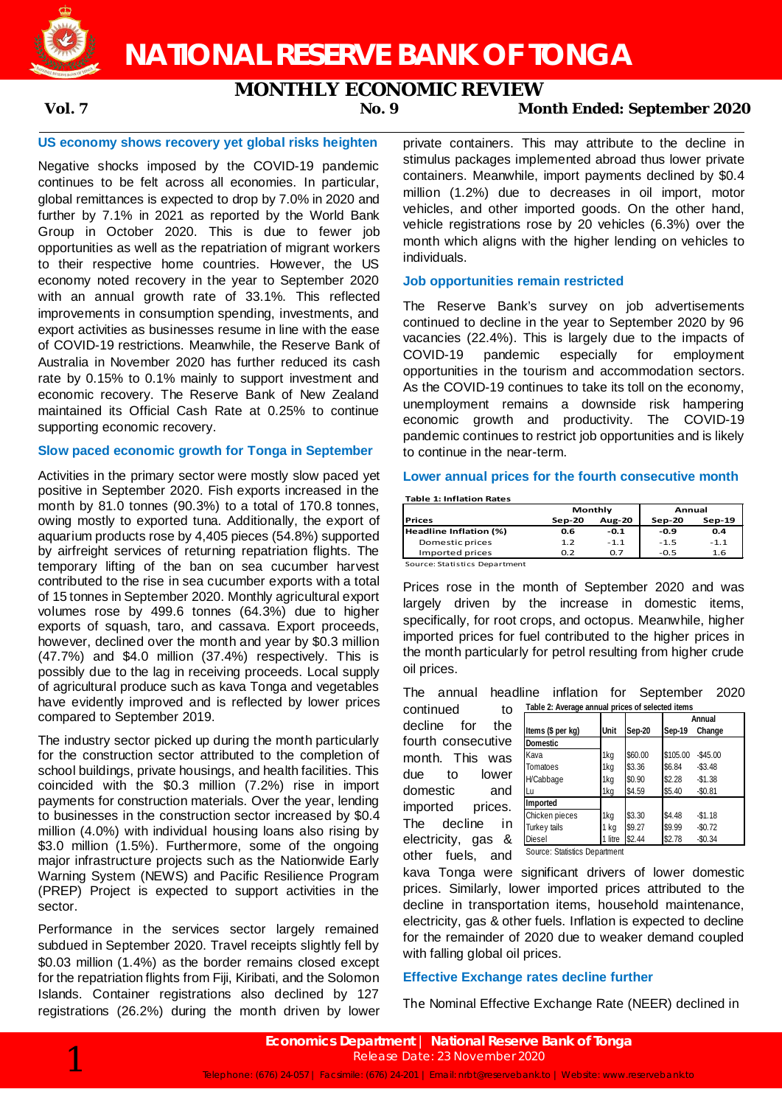

**NATIONAL RESERVE BANK OF TONGA**

# **MONTHLY ECONOMIC REVIEW**

**Vol. 7 No. 9 Month Ended: September 2020**

# **US economy shows recovery yet global risks heighten**

Negative shocks imposed by the COVID-19 pandemic continues to be felt across all economies. In particular, global remittances is expected to drop by 7.0% in 2020 and further by 7.1% in 2021 as reported by the World Bank Group in October 2020. This is due to fewer job opportunities as well as the repatriation of migrant workers to their respective home countries. However, the US economy noted recovery in the year to September 2020 with an annual growth rate of 33.1%. This reflected improvements in consumption spending, investments, and export activities as businesses resume in line with the ease of COVID-19 restrictions. Meanwhile, the Reserve Bank of Australia in November 2020 has further reduced its cash rate by 0.15% to 0.1% mainly to support investment and economic recovery. The Reserve Bank of New Zealand maintained its Official Cash Rate at 0.25% to continue supporting economic recovery.

# **Slow paced economic growth for Tonga in September**

Activities in the primary sector were mostly slow paced yet positive in September 2020. Fish exports increased in the month by 81.0 tonnes (90.3%) to a total of 170.8 tonnes, owing mostly to exported tuna. Additionally, the export of aquarium products rose by 4,405 pieces (54.8%) supported by airfreight services of returning repatriation flights. The temporary lifting of the ban on sea cucumber harvest contributed to the rise in sea cucumber exports with a total of 15 tonnes in September 2020. Monthly agricultural export volumes rose by 499.6 tonnes (64.3%) due to higher exports of squash, taro, and cassava. Export proceeds, however, declined over the month and year by \$0.3 million (47.7%) and \$4.0 million (37.4%) respectively. This is possibly due to the lag in receiving proceeds. Local supply of agricultural produce such as kava Tonga and vegetables have evidently improved and is reflected by lower prices compared to September 2019.

The industry sector picked up during the month particularly for the construction sector attributed to the completion of school buildings, private housings, and health facilities. This coincided with the \$0.3 million (7.2%) rise in import payments for construction materials. Over the year, lending to businesses in the construction sector increased by \$0.4 million (4.0%) with individual housing loans also rising by \$3.0 million (1.5%). Furthermore, some of the ongoing major infrastructure projects such as the Nationwide Early Warning System (NEWS) and Pacific Resilience Program (PREP) Project is expected to support activities in the sector.

Performance in the services sector largely remained subdued in September 2020. Travel receipts slightly fell by \$0.03 million (1.4%) as the border remains closed except for the repatriation flights from Fiji, Kiribati, and the Solomon Islands. Container registrations also declined by 127 registrations (26.2%) during the month driven by lower private containers. This may attribute to the decline in stimulus packages implemented abroad thus lower private containers. Meanwhile, import payments declined by \$0.4 million (1.2%) due to decreases in oil import, motor vehicles, and other imported goods. On the other hand, vehicle registrations rose by 20 vehicles (6.3%) over the month which aligns with the higher lending on vehicles to individuals.

# **Job opportunities remain restricted**

The Reserve Bank's survey on job advertisements continued to decline in the year to September 2020 by 96 vacancies (22.4%). This is largely due to the impacts of COVID-19 pandemic especially for employment opportunities in the tourism and accommodation sectors. As the COVID-19 continues to take its toll on the economy, unemployment remains a downside risk hampering economic growth and productivity. The COVID-19 pandemic continues to restrict job opportunities and is likely to continue in the near-term.

## **Lower annual prices for the fourth consecutive month**

**Table 1: Inflation Rates**

|                               |          | Monthly       | Annual |          |  |
|-------------------------------|----------|---------------|--------|----------|--|
| <b>Prices</b>                 | $Sep-20$ | <b>Aug-20</b> | Sep-20 | $Sep-19$ |  |
| Headline Inflation (%)        | 0.6      | $-0.1$        | $-0.9$ | 0.4      |  |
| Domestic prices               | 1.2      | $-1.1$        | $-1.5$ | $-1.1$   |  |
| Imported prices               | 0.2      | 0.7           | $-0.5$ | 1.6      |  |
| Source: Statistics Department |          |               |        |          |  |

Source: Statistics Department

Prices rose in the month of September 2020 and was largely driven by the increase in domestic items, specifically, for root crops, and octopus. Meanwhile, higher imported prices for fuel contributed to the higher prices in the month particularly for petrol resulting from higher crude oil prices.

The annual headline inflation for September 2020 continued to **Table 2: Average annual prices of selected items**

decline for the fourth consecutive month. This was due to lower domestic and imported prices. The decline in electricity, gas & other fuels, and

|         |         |          | Annual      |  |  |
|---------|---------|----------|-------------|--|--|
| Unit    | Sep-20  | Sep-19   | Change      |  |  |
|         |         |          |             |  |  |
| 1kg     | \$60.00 | \$105.00 | $-$ \$45.00 |  |  |
| 1kg     | \$3.36  | \$6.84   | $-$ \$3.48  |  |  |
| 1kg     | \$0.90  | \$2.28   | $-$1.38$    |  |  |
| 1kg     | \$4.59  | \$5.40   | $-$0.81$    |  |  |
|         |         |          |             |  |  |
| 1kg     | \$3.30  | \$4.48   | $-$1.18$    |  |  |
| 1 kg    | \$9.27  | \$9.99   | $-$0.72$    |  |  |
| 1 litre | \$2.44  | \$2.78   | $-$0.34$    |  |  |
|         |         |          |             |  |  |

kava Tonga were significant drivers of lower domestic prices. Similarly, lower imported prices attributed to the decline in transportation items, household maintenance, electricity, gas & other fuels. Inflation is expected to decline for the remainder of 2020 due to weaker demand coupled with falling global oil prices.

# **Effective Exchange rates decline further**

The Nominal Effective Exchange Rate (NEER) declined in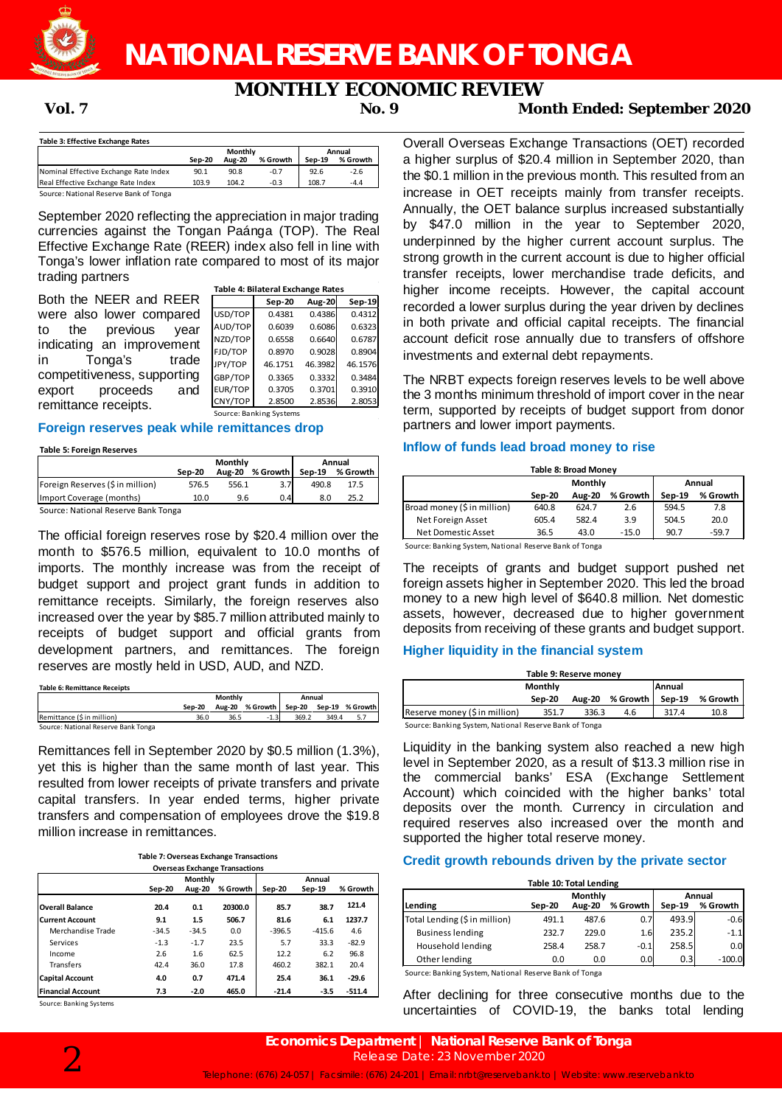

**NATIONAL RESERVE BANK OF TONGA**

# **MONTHLY ECONOMIC REVIEW**

# **Vol. 7 No. 9 Month Ended: September 2020**

|                                       |        | Monthly       | Annual   |        |          |
|---------------------------------------|--------|---------------|----------|--------|----------|
|                                       | Sep-20 | <b>Aug-20</b> | % Growth | Sep-19 | % Growth |
| Nominal Effective Exchange Rate Index | 90.1   | 90.8          | $-0.7$   | 92.6   | $-2.6$   |
| Real Effective Exchange Rate Index    | 103.9  | 104.2         | $-0.3$   | 108.7  | $-4.4$   |

Source: National Reserve Bank of Tonga

September 2020 reflecting the appreciation in major trading currencies against the Tongan Paánga (TOP). The Real Effective Exchange Rate (REER) index also fell in line with Tonga's lower inflation rate compared to most of its major trading partners

|                             |         | Table 4: Bilateral Exchange Rates |               |         |
|-----------------------------|---------|-----------------------------------|---------------|---------|
| Both the NEER and REER      |         | <b>Sep-20</b>                     | <b>Aug-20</b> | Sep-19  |
| were also lower compared    | USD/TOP | 0.4381                            | 0.4386        | 0.4312  |
| to the previous<br>vear     | AUD/TOP | 0.6039                            | 0.6086        | 0.6323  |
| indicating an improvement   | NZD/TOP | 0.6558                            | 0.6640        | 0.6787  |
|                             | FJD/TOP | 0.8970                            | 0.9028        | 0.8904  |
| in<br>Tonga's<br>trade      | JPY/TOP | 46.1751                           | 46.3982       | 46.1576 |
| competitiveness, supporting | GBP/TOP | 0.3365                            | 0.3332        | 0.3484  |
| and<br>export proceeds      | EUR/TOP | 0.3705                            | 0.3701        | 0.3910  |
| remittance receipts.        | CNY/TOP | 2.8500                            | 2.8536        | 2.8053  |
|                             |         | Source: Banking Systems           |               |         |

## **Foreign reserves peak while remittances drop**

### **Table 5: Foreign Reserves**

|                                    |        | Monthly       | Annual                     |       |      |
|------------------------------------|--------|---------------|----------------------------|-------|------|
|                                    | Sep-20 | <b>Aug-20</b> | % Growth   Sep-19 % Growth |       |      |
| Foreign Reserves (\$in million)    | 576.5  | 556.1         |                            | 490.8 | 17.5 |
| Import Coverage (months)           | 10.0   | 9.6           | 0.4                        | 8.0   | 25.2 |
| Course: Notional Besson Dank Tengo |        |               |                            |       |      |

Source: National Reserve Bank Tonga

The official foreign reserves rose by \$20.4 million over the month to \$576.5 million, equivalent to 10.0 months of imports. The monthly increase was from the receipt of budget support and project grant funds in addition to remittance receipts. Similarly, the foreign reserves also increased over the year by \$85.7 million attributed mainly to receipts of budget support and official grants from development partners, and remittances. The foreign reserves are mostly held in USD, AUD, and NZD.

**Table 6: Remittance Receipts**

|                                     | Monthly  |      |                                        | Annual |       |     |
|-------------------------------------|----------|------|----------------------------------------|--------|-------|-----|
|                                     | $Sen-20$ |      | Aug-20 % Growth Sep-20 Sep-19 % Growth |        |       |     |
| Remittance (\$ in million)          | 36.0     | 36.5 | $-1.3$                                 | 369.2  | 349.4 | 5.7 |
| Source: National Reserve Bank Tonga |          |      |                                        |        |       |     |

Remittances fell in September 2020 by \$0.5 million (1.3%), yet this is higher than the same month of last year. This resulted from lower receipts of private transfers and private capital transfers. In year ended terms, higher private transfers and compensation of employees drove the \$19.8 million increase in remittances.

| <b>Table 7: Overseas Exchange Transactions</b> |
|------------------------------------------------|
| <b>Overseas Exchange Transactions</b>          |

|                          |         | <b>Monthly</b> |          |          |          |          |
|--------------------------|---------|----------------|----------|----------|----------|----------|
|                          | Sep-20  | <b>Aug-20</b>  | % Growth | Sep-20   | Sep-19   | % Growth |
| <b>Overall Balance</b>   | 20.4    | 0.1            | 20300.0  | 85.7     | 38.7     | 121.4    |
| <b>Current Account</b>   | 9.1     | 1.5            | 506.7    | 81.6     | 6.1      | 1237.7   |
| Merchandise Trade        | $-34.5$ | $-34.5$        | 0.0      | $-396.5$ | $-415.6$ | 4.6      |
| Services                 | $-1.3$  | $-1.7$         | 23.5     | 5.7      | 33.3     | $-82.9$  |
| Income                   | 2.6     | 1.6            | 62.5     | 12.2     | 6.2      | 96.8     |
| <b>Transfers</b>         | 42.4    | 36.0           | 17.8     | 460.2    | 382.1    | 20.4     |
| <b>Capital Account</b>   | 4.0     | 0.7            | 471.4    | 25.4     | 36.1     | $-29.6$  |
| <b>Financial Account</b> | 7.3     | $-2.0$         | 465.0    | $-21.4$  | $-3.5$   | $-511.4$ |

Source: Banking Systems

Overall Overseas Exchange Transactions (OET) recorded a higher surplus of \$20.4 million in September 2020, than the \$0.1 million in the previous month. This resulted from an increase in OET receipts mainly from transfer receipts. Annually, the OET balance surplus increased substantially by \$47.0 million in the year to September 2020, underpinned by the higher current account surplus. The strong growth in the current account is due to higher official transfer receipts, lower merchandise trade deficits, and higher income receipts. However, the capital account recorded a lower surplus during the year driven by declines in both private and official capital receipts. The financial account deficit rose annually due to transfers of offshore investments and external debt repayments.

The NRBT expects foreign reserves levels to be well above the 3 months minimum threshold of import cover in the near term, supported by receipts of budget support from donor partners and lower import payments.

## **Inflow of funds lead broad money to rise**

| <b>Table 8: Broad Money</b> |         |               |            |          |          |  |  |
|-----------------------------|---------|---------------|------------|----------|----------|--|--|
|                             | Monthly |               |            | Annual   |          |  |  |
|                             | Sep-20  | <b>Aug-20</b> | % Growth I | $Sep-19$ | % Growth |  |  |
| Broad money (\$ in million) | 640.8   | 624.7         | 2.6        | 594.5    | 7.8      |  |  |
| Net Foreign Asset           | 605.4   | 582.4         | 3.9        | 504.5    | 20.0     |  |  |
| Net Domestic Asset          | 36.5    | 43.0          | $-15.0$    | 90.7     | $-59.7$  |  |  |

Source: Banking System, National Reserve Bank of Tonga

The receipts of grants and budget support pushed net foreign assets higher in September 2020. This led the broad money to a new high level of \$640.8 million. Net domestic assets, however, decreased due to higher government deposits from receiving of these grants and budget support.

# **Higher liquidity in the financial system**

| Table 9: Reserve money        |        |       |                        |        |          |  |  |
|-------------------------------|--------|-------|------------------------|--------|----------|--|--|
| Monthly                       |        |       |                        | Annual |          |  |  |
|                               | Sep-20 |       | Aug-20 % Growth Sep-19 |        | % Growth |  |  |
| Reserve money (\$ in million) | 351.7  | 336.3 | 4.6                    | 317.4  | 10.8     |  |  |

Source: Banking System, National Reserve Bank of Tonga

Liquidity in the banking system also reached a new high level in September 2020, as a result of \$13.3 million rise in the commercial banks' ESA (Exchange Settlement Account) which coincided with the higher banks' total deposits over the month. Currency in circulation and required reserves also increased over the month and supported the higher total reserve money.

# **Credit growth rebounds driven by the private sector**

| Table 10: Total Lending       |        |                          |          |                    |          |  |  |
|-------------------------------|--------|--------------------------|----------|--------------------|----------|--|--|
| Lending                       | Sep-20 | Monthly<br><b>Aug-20</b> | $Sep-19$ | Annual<br>% Growth |          |  |  |
|                               |        |                          | % Growth |                    |          |  |  |
| Total Lending (\$ in million) | 491.1  | 487.6                    | 0.7      | 493.9              | $-0.6$   |  |  |
| <b>Business lending</b>       | 232.7  | 229.0                    | 1.6      | 235.2              | $-1.1$   |  |  |
| Household lending             | 258.4  | 258.7                    | $-0.1$   | 258.5              | 0.0      |  |  |
| Other lending                 | 0.0    | 0.0                      | 0.0      | 0.3                | $-100.0$ |  |  |

Source: Banking System, National Reserve Bank of Tonga

After declining for three consecutive months due to the uncertainties of COVID-19, the banks total lending